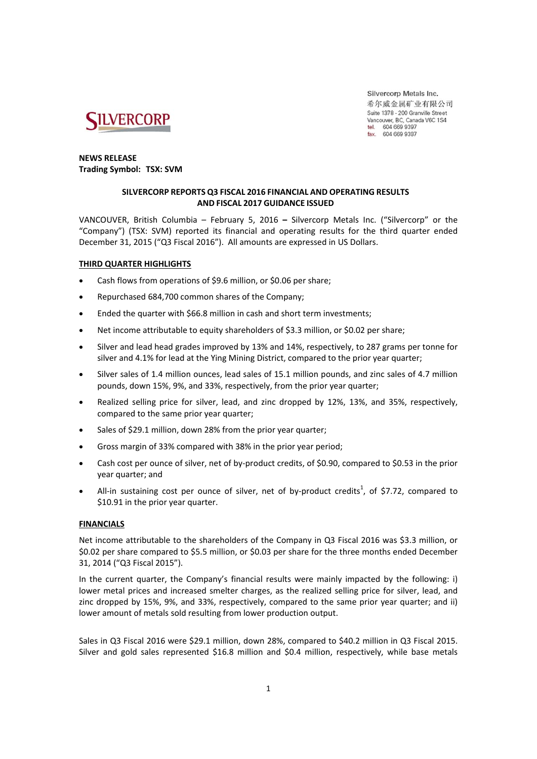

Silvercorp Metals Inc. 希尔威金属矿业有限公司 Suite 1378 - 200 Granville Street Vancouver, BC, Canada V6C 1S4 tel. 604 669 9397 fax. 604 669 9387

## **NEWS RELEASE Trading Symbol: TSX: SVM**

## **SILVERCORP REPORTS Q3 FISCAL 2016 FINANCIAL AND OPERATING RESULTS AND FISCAL 2017 GUIDANCE ISSUED**

VANCOUVER, British Columbia – February 5, 2016 **–** Silvercorp Metals Inc. ("Silvercorp" or the "Company") (TSX: SVM) reported its financial and operating results for the third quarter ended December 31, 2015 ("Q3 Fiscal 2016"). All amounts are expressed in US Dollars.

## **THIRD QUARTER HIGHLIGHTS**

- Cash flows from operations of \$9.6 million, or \$0.06 per share;
- Repurchased 684,700 common shares of the Company;
- Ended the quarter with \$66.8 million in cash and short term investments;
- Net income attributable to equity shareholders of \$3.3 million, or \$0.02 per share;
- Silver and lead head grades improved by 13% and 14%, respectively, to 287 grams per tonne for silver and 4.1% for lead at the Ying Mining District, compared to the prior year quarter;
- Silver sales of 1.4 million ounces, lead sales of 15.1 million pounds, and zinc sales of 4.7 million pounds, down 15%, 9%, and 33%, respectively, from the prior year quarter;
- Realized selling price for silver, lead, and zinc dropped by 12%, 13%, and 35%, respectively, compared to the same prior year quarter;
- Sales of \$29.1 million, down 28% from the prior year quarter;
- Gross margin of 33% compared with 38% in the prior year period;
- Cash cost per ounce of silver, net of by‐product credits, of \$0.90, compared to \$0.53 in the prior year quarter; and
- All-in sustaining cost per ounce of silver, net of by-product credits<sup>1</sup>, of \$7.72, compared to \$10.91 in the prior year quarter.

## **FINANCIALS**

Net income attributable to the shareholders of the Company in Q3 Fiscal 2016 was \$3.3 million, or \$0.02 per share compared to \$5.5 million, or \$0.03 per share for the three months ended December 31, 2014 ("Q3 Fiscal 2015").

In the current quarter, the Company's financial results were mainly impacted by the following: i) lower metal prices and increased smelter charges, as the realized selling price for silver, lead, and zinc dropped by 15%, 9%, and 33%, respectively, compared to the same prior year quarter; and ii) lower amount of metals sold resulting from lower production output.

Sales in Q3 Fiscal 2016 were \$29.1 million, down 28%, compared to \$40.2 million in Q3 Fiscal 2015. Silver and gold sales represented \$16.8 million and \$0.4 million, respectively, while base metals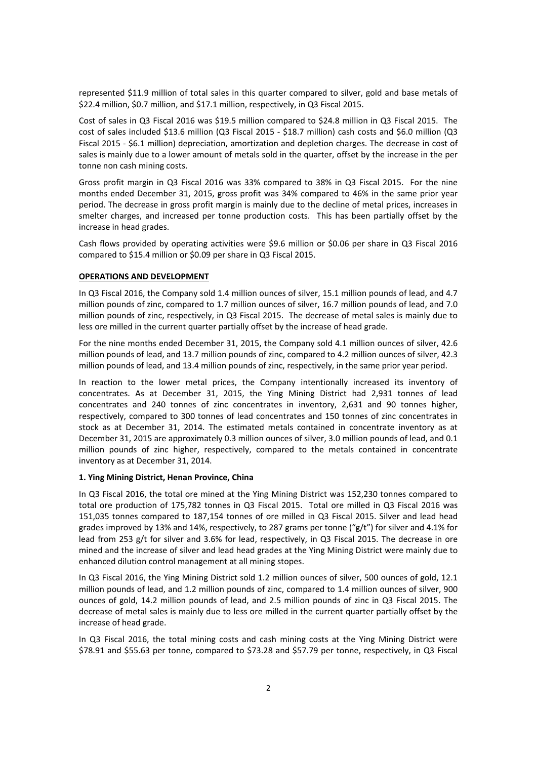represented \$11.9 million of total sales in this quarter compared to silver, gold and base metals of \$22.4 million, \$0.7 million, and \$17.1 million, respectively, in Q3 Fiscal 2015.

Cost of sales in Q3 Fiscal 2016 was \$19.5 million compared to \$24.8 million in Q3 Fiscal 2015. The cost of sales included \$13.6 million (Q3 Fiscal 2015 ‐ \$18.7 million) cash costs and \$6.0 million (Q3 Fiscal 2015 ‐ \$6.1 million) depreciation, amortization and depletion charges. The decrease in cost of sales is mainly due to a lower amount of metals sold in the quarter, offset by the increase in the per tonne non cash mining costs.

Gross profit margin in Q3 Fiscal 2016 was 33% compared to 38% in Q3 Fiscal 2015. For the nine months ended December 31, 2015, gross profit was 34% compared to 46% in the same prior year period. The decrease in gross profit margin is mainly due to the decline of metal prices, increases in smelter charges, and increased per tonne production costs. This has been partially offset by the increase in head grades.

Cash flows provided by operating activities were \$9.6 million or \$0.06 per share in Q3 Fiscal 2016 compared to \$15.4 million or \$0.09 per share in Q3 Fiscal 2015.

### **OPERATIONS AND DEVELOPMENT**

In Q3 Fiscal 2016, the Company sold 1.4 million ounces of silver, 15.1 million pounds of lead, and 4.7 million pounds of zinc, compared to 1.7 million ounces of silver, 16.7 million pounds of lead, and 7.0 million pounds of zinc, respectively, in Q3 Fiscal 2015. The decrease of metal sales is mainly due to less ore milled in the current quarter partially offset by the increase of head grade.

For the nine months ended December 31, 2015, the Company sold 4.1 million ounces of silver, 42.6 million pounds of lead, and 13.7 million pounds of zinc, compared to 4.2 million ounces of silver, 42.3 million pounds of lead, and 13.4 million pounds of zinc, respectively, in the same prior year period.

In reaction to the lower metal prices, the Company intentionally increased its inventory of concentrates. As at December 31, 2015, the Ying Mining District had 2,931 tonnes of lead concentrates and 240 tonnes of zinc concentrates in inventory, 2,631 and 90 tonnes higher, respectively, compared to 300 tonnes of lead concentrates and 150 tonnes of zinc concentrates in stock as at December 31, 2014. The estimated metals contained in concentrate inventory as at December 31, 2015 are approximately 0.3 million ounces of silver, 3.0 million pounds of lead, and 0.1 million pounds of zinc higher, respectively, compared to the metals contained in concentrate inventory as at December 31, 2014.

### **1. Ying Mining District, Henan Province, China**

In Q3 Fiscal 2016, the total ore mined at the Ying Mining District was 152,230 tonnes compared to total ore production of 175,782 tonnes in Q3 Fiscal 2015. Total ore milled in Q3 Fiscal 2016 was 151,035 tonnes compared to 187,154 tonnes of ore milled in Q3 Fiscal 2015. Silver and lead head grades improved by 13% and 14%, respectively, to 287 grams per tonne ("g/t") for silver and 4.1% for lead from 253 g/t for silver and 3.6% for lead, respectively, in Q3 Fiscal 2015. The decrease in ore mined and the increase of silver and lead head grades at the Ying Mining District were mainly due to enhanced dilution control management at all mining stopes.

In Q3 Fiscal 2016, the Ying Mining District sold 1.2 million ounces of silver, 500 ounces of gold, 12.1 million pounds of lead, and 1.2 million pounds of zinc, compared to 1.4 million ounces of silver, 900 ounces of gold, 14.2 million pounds of lead, and 2.5 million pounds of zinc in Q3 Fiscal 2015. The decrease of metal sales is mainly due to less ore milled in the current quarter partially offset by the increase of head grade.

In Q3 Fiscal 2016, the total mining costs and cash mining costs at the Ying Mining District were \$78.91 and \$55.63 per tonne, compared to \$73.28 and \$57.79 per tonne, respectively, in Q3 Fiscal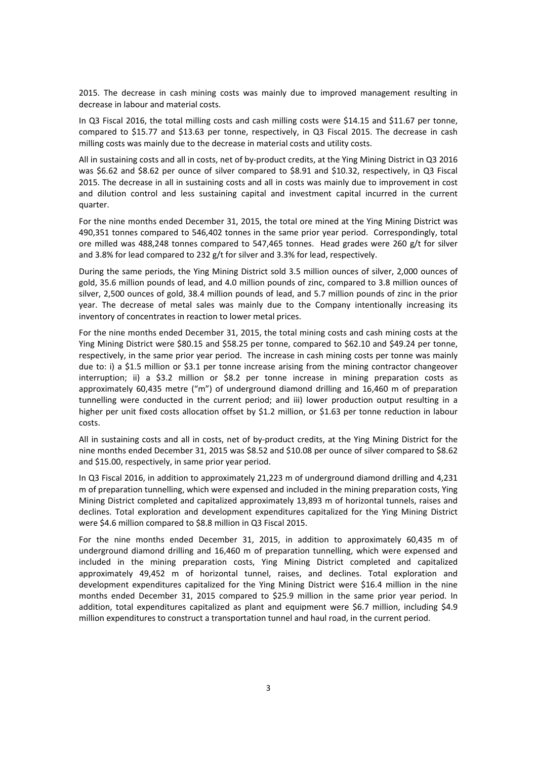2015. The decrease in cash mining costs was mainly due to improved management resulting in decrease in labour and material costs.

In Q3 Fiscal 2016, the total milling costs and cash milling costs were \$14.15 and \$11.67 per tonne, compared to \$15.77 and \$13.63 per tonne, respectively, in Q3 Fiscal 2015. The decrease in cash milling costs was mainly due to the decrease in material costs and utility costs.

All in sustaining costs and all in costs, net of by-product credits, at the Ying Mining District in Q3 2016 was \$6.62 and \$8.62 per ounce of silver compared to \$8.91 and \$10.32, respectively, in Q3 Fiscal 2015. The decrease in all in sustaining costs and all in costs was mainly due to improvement in cost and dilution control and less sustaining capital and investment capital incurred in the current quarter.

For the nine months ended December 31, 2015, the total ore mined at the Ying Mining District was 490,351 tonnes compared to 546,402 tonnes in the same prior year period. Correspondingly, total ore milled was 488,248 tonnes compared to 547,465 tonnes. Head grades were 260 g/t for silver and 3.8% for lead compared to 232 g/t for silver and 3.3% for lead, respectively.

During the same periods, the Ying Mining District sold 3.5 million ounces of silver, 2,000 ounces of gold, 35.6 million pounds of lead, and 4.0 million pounds of zinc, compared to 3.8 million ounces of silver, 2,500 ounces of gold, 38.4 million pounds of lead, and 5.7 million pounds of zinc in the prior year. The decrease of metal sales was mainly due to the Company intentionally increasing its inventory of concentrates in reaction to lower metal prices.

For the nine months ended December 31, 2015, the total mining costs and cash mining costs at the Ying Mining District were \$80.15 and \$58.25 per tonne, compared to \$62.10 and \$49.24 per tonne, respectively, in the same prior year period. The increase in cash mining costs per tonne was mainly due to: i) a \$1.5 million or \$3.1 per tonne increase arising from the mining contractor changeover interruption; ii) a \$3.2 million or \$8.2 per tonne increase in mining preparation costs as approximately 60,435 metre ("m") of underground diamond drilling and 16,460 m of preparation tunnelling were conducted in the current period; and iii) lower production output resulting in a higher per unit fixed costs allocation offset by \$1.2 million, or \$1.63 per tonne reduction in labour costs.

All in sustaining costs and all in costs, net of by‐product credits, at the Ying Mining District for the nine months ended December 31, 2015 was \$8.52 and \$10.08 per ounce of silver compared to \$8.62 and \$15.00, respectively, in same prior year period.

In Q3 Fiscal 2016, in addition to approximately 21,223 m of underground diamond drilling and 4,231 m of preparation tunnelling, which were expensed and included in the mining preparation costs, Ying Mining District completed and capitalized approximately 13,893 m of horizontal tunnels, raises and declines. Total exploration and development expenditures capitalized for the Ying Mining District were \$4.6 million compared to \$8.8 million in Q3 Fiscal 2015.

For the nine months ended December 31, 2015, in addition to approximately 60,435 m of underground diamond drilling and 16,460 m of preparation tunnelling, which were expensed and included in the mining preparation costs, Ying Mining District completed and capitalized approximately 49,452 m of horizontal tunnel, raises, and declines. Total exploration and development expenditures capitalized for the Ying Mining District were \$16.4 million in the nine months ended December 31, 2015 compared to \$25.9 million in the same prior year period. In addition, total expenditures capitalized as plant and equipment were \$6.7 million, including \$4.9 million expenditures to construct a transportation tunnel and haul road, in the current period.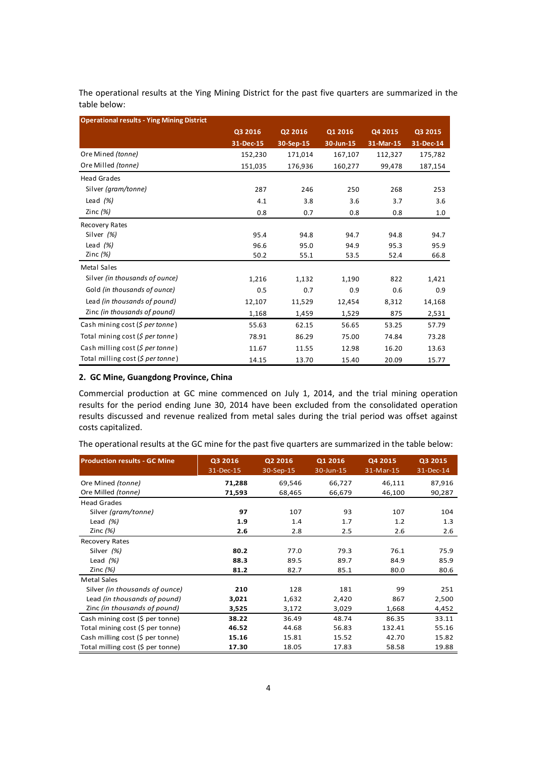The operational results at the Ying Mining District for the past five quarters are summarized in the table below:

| <b>Operational results - Ying Mining District</b> |           |           |           |           |           |
|---------------------------------------------------|-----------|-----------|-----------|-----------|-----------|
|                                                   | Q3 2016   | Q2 2016   | Q1 2016   | Q4 2015   | Q3 2015   |
|                                                   | 31-Dec-15 | 30-Sep-15 | 30-Jun-15 | 31-Mar-15 | 31-Dec-14 |
| Ore Mined (tonne)                                 | 152,230   | 171,014   | 167,107   | 112,327   | 175,782   |
| Ore Milled (tonne)                                | 151,035   | 176,936   | 160,277   | 99,478    | 187,154   |
| <b>Head Grades</b>                                |           |           |           |           |           |
| Silver (gram/tonne)                               | 287       | 246       | 250       | 268       | 253       |
| Lead $(%)$                                        | 4.1       | 3.8       | 3.6       | 3.7       | 3.6       |
| Zinc $(%)$                                        | 0.8       | 0.7       | 0.8       | 0.8       | 1.0       |
| <b>Recovery Rates</b>                             |           |           |           |           |           |
| Silver (%)                                        | 95.4      | 94.8      | 94.7      | 94.8      | 94.7      |
| Lead $(%)$                                        | 96.6      | 95.0      | 94.9      | 95.3      | 95.9      |
| Zinc $(%)$                                        | 50.2      | 55.1      | 53.5      | 52.4      | 66.8      |
| Metal Sales                                       |           |           |           |           |           |
| Silver (in thousands of ounce)                    | 1,216     | 1,132     | 1,190     | 822       | 1,421     |
| Gold (in thousands of ounce)                      | 0.5       | 0.7       | 0.9       | 0.6       | 0.9       |
| Lead (in thousands of pound)                      | 12,107    | 11,529    | 12,454    | 8,312     | 14,168    |
| Zinc (in thousands of pound)                      | 1,168     | 1,459     | 1,529     | 875       | 2,531     |
| Cash mining cost $(S$ per tonne)                  | 55.63     | 62.15     | 56.65     | 53.25     | 57.79     |
| Total mining cost (\$ per tonne)                  | 78.91     | 86.29     | 75.00     | 74.84     | 73.28     |
| Cash milling cost (\$ per tonne)                  | 11.67     | 11.55     | 12.98     | 16.20     | 13.63     |
| Total milling cost (\$ per tonne)                 | 14.15     | 13.70     | 15.40     | 20.09     | 15.77     |

## **2. GC Mine, Guangdong Province, China**

Commercial production at GC mine commenced on July 1, 2014, and the trial mining operation results for the period ending June 30, 2014 have been excluded from the consolidated operation results discussed and revenue realized from metal sales during the trial period was offset against costs capitalized.

The operational results at the GC mine for the past five quarters are summarized in the table below:

| <b>Production results - GC Mine</b> | Q3 2016<br>31-Dec-15 | Q2 2016<br>30-Sep-15 | Q1 2016<br>30-Jun-15 | Q4 2015<br>31-Mar-15 | Q3 2015<br>31-Dec-14 |
|-------------------------------------|----------------------|----------------------|----------------------|----------------------|----------------------|
|                                     |                      |                      |                      |                      |                      |
| Ore Mined (tonne)                   | 71,288               | 69,546               | 66,727               | 46,111               | 87,916               |
| Ore Milled (tonne)                  | 71,593               | 68,465               | 66,679               | 46,100               | 90,287               |
| <b>Head Grades</b>                  |                      |                      |                      |                      |                      |
| Silver (gram/tonne)                 | 97                   | 107                  | 93                   | 107                  | 104                  |
| Lead $(%)$                          | 1.9                  | 1.4                  | 1.7                  | 1.2                  | 1.3                  |
| Zinc $(%)$                          | 2.6                  | 2.8                  | 2.5                  | 2.6                  | 2.6                  |
| Recovery Rates                      |                      |                      |                      |                      |                      |
| Silver (%)                          | 80.2                 | 77.0                 | 79.3                 | 76.1                 | 75.9                 |
| Lead $(%)$                          | 88.3                 | 89.5                 | 89.7                 | 84.9                 | 85.9                 |
| Zinc $(%)$                          | 81.2                 | 82.7                 | 85.1                 | 80.0                 | 80.6                 |
| <b>Metal Sales</b>                  |                      |                      |                      |                      |                      |
| Silver (in thousands of ounce)      | 210                  | 128                  | 181                  | 99                   | 251                  |
| Lead (in thousands of pound)        | 3,021                | 1,632                | 2,420                | 867                  | 2,500                |
| Zinc (in thousands of pound)        | 3,525                | 3,172                | 3,029                | 1,668                | 4,452                |
| Cash mining cost (\$ per tonne)     | 38.22                | 36.49                | 48.74                | 86.35                | 33.11                |
| Total mining cost (\$ per tonne)    | 46.52                | 44.68                | 56.83                | 132.41               | 55.16                |
| Cash milling cost (\$ per tonne)    | 15.16                | 15.81                | 15.52                | 42.70                | 15.82                |
| Total milling cost (\$ per tonne)   | 17.30                | 18.05                | 17.83                | 58.58                | 19.88                |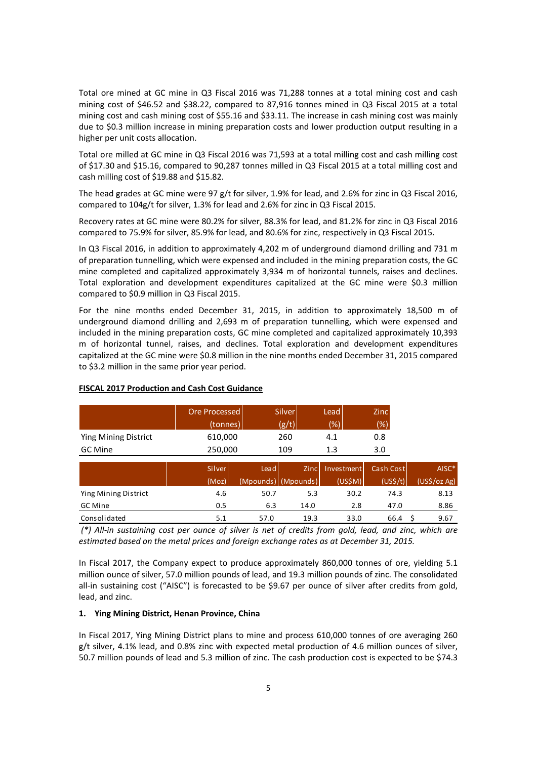Total ore mined at GC mine in Q3 Fiscal 2016 was 71,288 tonnes at a total mining cost and cash mining cost of \$46.52 and \$38.22, compared to 87,916 tonnes mined in Q3 Fiscal 2015 at a total mining cost and cash mining cost of \$55.16 and \$33.11. The increase in cash mining cost was mainly due to \$0.3 million increase in mining preparation costs and lower production output resulting in a higher per unit costs allocation.

Total ore milled at GC mine in Q3 Fiscal 2016 was 71,593 at a total milling cost and cash milling cost of \$17.30 and \$15.16, compared to 90,287 tonnes milled in Q3 Fiscal 2015 at a total milling cost and cash milling cost of \$19.88 and \$15.82.

The head grades at GC mine were 97 g/t for silver, 1.9% for lead, and 2.6% for zinc in Q3 Fiscal 2016, compared to 104g/t for silver, 1.3% for lead and 2.6% for zinc in Q3 Fiscal 2015.

Recovery rates at GC mine were 80.2% for silver, 88.3% for lead, and 81.2% for zinc in Q3 Fiscal 2016 compared to 75.9% for silver, 85.9% for lead, and 80.6% for zinc, respectively in Q3 Fiscal 2015.

In Q3 Fiscal 2016, in addition to approximately 4,202 m of underground diamond drilling and 731 m of preparation tunnelling, which were expensed and included in the mining preparation costs, the GC mine completed and capitalized approximately 3,934 m of horizontal tunnels, raises and declines. Total exploration and development expenditures capitalized at the GC mine were \$0.3 million compared to \$0.9 million in Q3 Fiscal 2015.

For the nine months ended December 31, 2015, in addition to approximately 18,500 m of underground diamond drilling and 2,693 m of preparation tunnelling, which were expensed and included in the mining preparation costs, GC mine completed and capitalized approximately 10,393 m of horizontal tunnel, raises, and declines. Total exploration and development expenditures capitalized at the GC mine were \$0.8 million in the nine months ended December 31, 2015 compared to \$3.2 million in the same prior year period.

|                             | Ore Processed | Silver              |             | Lead       | <b>Zinc</b> |                          |
|-----------------------------|---------------|---------------------|-------------|------------|-------------|--------------------------|
|                             | (tonnes)      | (g/t)               |             | (%)        | $(\%)$      |                          |
| <b>Ying Mining District</b> | 610,000       | 260                 |             | 4.1        | 0.8         |                          |
| GC Mine                     | 250,000       | 109                 |             | 1.3        | 3.0         |                          |
|                             |               |                     |             |            |             |                          |
|                             | Silver        | Leadl               | <b>Zinc</b> | Investment | Cash Cost   | AISC*                    |
|                             | (Moz)         | (Mpounds) (Mpounds) |             | (US\$M)    | (USS/t)     | (US <sup>5</sup> /oz Ag) |
| <b>Ying Mining District</b> | 4.6           | 50.7                | 5.3         | 30.2       | 74.3        | 8.13                     |
| GC Mine                     | 0.5           | 6.3                 | 14.0        | 2.8        | 47.0        | 8.86                     |
| Consolidated                | 5.1           | 57.0                | 19.3        | 33.0       | 66.4        | 9.67<br>- S              |

## **FISCAL 2017 Production and Cash Cost Guidance**

(\*) All-in sustaining cost per ounce of silver is net of credits from gold, lead, and zinc, which are *estimated based on the metal prices and foreign exchange rates as at December 31, 2015.*

In Fiscal 2017, the Company expect to produce approximately 860,000 tonnes of ore, yielding 5.1 million ounce of silver, 57.0 million pounds of lead, and 19.3 million pounds of zinc. The consolidated all-in sustaining cost ("AISC") is forecasted to be \$9.67 per ounce of silver after credits from gold, lead, and zinc.

## **1. Ying Mining District, Henan Province, China**

In Fiscal 2017, Ying Mining District plans to mine and process 610,000 tonnes of ore averaging 260 g/t silver, 4.1% lead, and 0.8% zinc with expected metal production of 4.6 million ounces of silver, 50.7 million pounds of lead and 5.3 million of zinc. The cash production cost is expected to be \$74.3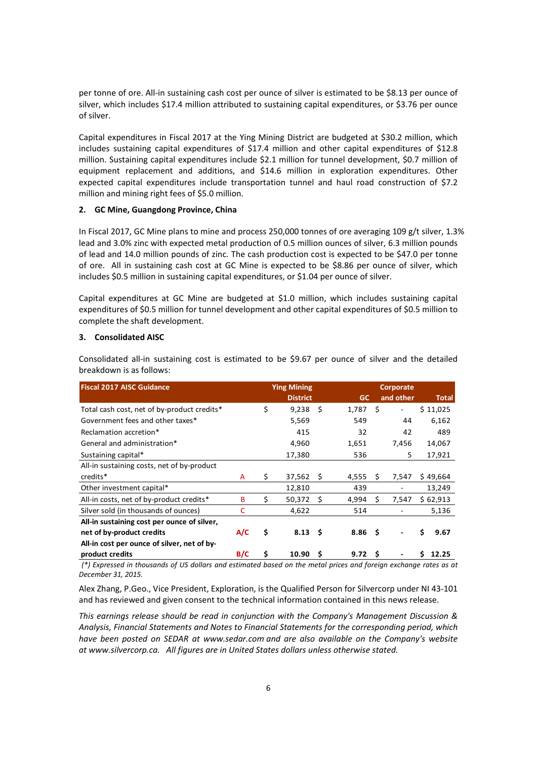per tonne of ore. All-in sustaining cash cost per ounce of silver is estimated to be \$8.13 per ounce of silver, which includes \$17.4 million attributed to sustaining capital expenditures, or \$3.76 per ounce of silver.

Capital expenditures in Fiscal 2017 at the Ying Mining District are budgeted at \$30.2 million, which includes sustaining capital expenditures of \$17.4 million and other capital expenditures of \$12.8 million. Sustaining capital expenditures include \$2.1 million for tunnel development, \$0.7 million of equipment replacement and additions, and \$14.6 million in exploration expenditures. Other expected capital expenditures include transportation tunnel and haul road construction of \$7.2 million and mining right fees of \$5.0 million.

## **2. GC Mine, Guangdong Province, China**

In Fiscal 2017, GC Mine plans to mine and process 250,000 tonnes of ore averaging 109 g/t silver, 1.3% lead and 3.0% zinc with expected metal production of 0.5 million ounces of silver, 6.3 million pounds of lead and 14.0 million pounds of zinc. The cash production cost is expected to be \$47.0 per tonne of ore. All in sustaining cash cost at GC Mine is expected to be \$8.86 per ounce of silver, which includes \$0.5 million in sustaining capital expenditures, or \$1.04 per ounce of silver.

Capital expenditures at GC Mine are budgeted at \$1.0 million, which includes sustaining capital expenditures of \$0.5 million for tunnel development and other capital expenditures of \$0.5 million to complete the shaft development.

## **3. Consolidated AISC**

Consolidated all‐in sustaining cost is estimated to be \$9.67 per ounce of silver and the detailed breakdown is as follows:

| <b>Fiscal 2017 AISC Guidance</b>            | <b>Ying Mining</b> |    |                   |      | <b>Corporate</b>  |   |                          |   |              |
|---------------------------------------------|--------------------|----|-------------------|------|-------------------|---|--------------------------|---|--------------|
|                                             |                    |    | <b>District</b>   |      | <b>GC</b>         |   | and other                |   | <b>Total</b> |
| Total cash cost, net of by-product credits* |                    | \$ | 9,238             | - \$ | $1,787$ \$        |   | $\overline{\phantom{a}}$ |   | \$11,025     |
| Government fees and other taxes*            |                    |    | 5,569             |      | 549               |   | 44                       |   | 6,162        |
| Reclamation accretion*                      |                    |    | 415               |      | 32                |   | 42                       |   | 489          |
| General and administration*                 |                    |    | 4,960             |      | 1,651             |   | 7,456                    |   | 14,067       |
| Sustaining capital*                         |                    |    | 17,380            |      | 536               |   | 5                        |   | 17,921       |
| All-in sustaining costs, net of by-product  |                    |    |                   |      |                   |   |                          |   |              |
| credits*                                    | A                  | \$ | 37,562            | \$.  | 4,555             | S | 7,547                    |   | \$49,664     |
| Other investment capital*                   |                    |    | 12,810            |      | 439               |   |                          |   | 13,249       |
| All-in costs, net of by-product credits*    | B                  | Ś  | 50,372            | -\$  | 4,994             | S | 7,547                    |   | \$62,913     |
| Silver sold (in thousands of ounces)        | C                  |    | 4,622             |      | 514               |   |                          |   | 5,136        |
| All-in sustaining cost per ounce of silver, |                    |    |                   |      |                   |   |                          |   |              |
| net of by-product credits                   | A/C                | \$ | 8.13 <sub>5</sub> |      | 8.86 <sub>5</sub> |   |                          | Ś | 9.67         |
| All-in cost per ounce of silver, net of by- |                    |    |                   |      |                   |   |                          |   |              |
| product credits                             | B/C                | S  | 10.90             | Ś    | 9.72              |   |                          |   | 12.25        |

(\*) Expressed in thousands of US dollars and estimated based on the metal prices and foreign exchange rates as at *December 31, 2015.*

Alex Zhang, P.Geo., Vice President, Exploration, is the Qualified Person for Silvercorp under NI 43‐101 and has reviewed and given consent to the technical information contained in this news release.

*This earnings release should be read in conjunction with the Company's Management Discussion & Analysis, Financial Statements and Notes to Financial Statements for the corresponding period, which have been posted on SEDAR at www.sedar.com and are also available on the Company's website at www.silvercorp.ca. All figures are in United States dollars unless otherwise stated.*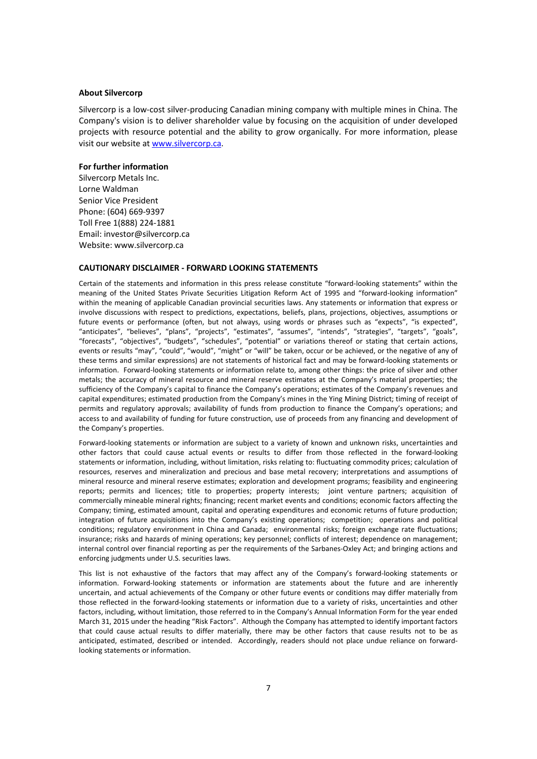### **About Silvercorp**

Silvercorp is a low‐cost silver‐producing Canadian mining company with multiple mines in China. The Company's vision is to deliver shareholder value by focusing on the acquisition of under developed projects with resource potential and the ability to grow organically. For more information, please visit our website at www.silvercorp.ca.

#### **For further information**

Silvercorp Metals Inc. Lorne Waldman Senior Vice President Phone: (604) 669‐9397 Toll Free 1(888) 224‐1881 Email: investor@silvercorp.ca Website: www.silvercorp.ca

### **CAUTIONARY DISCLAIMER ‐ FORWARD LOOKING STATEMENTS**

Certain of the statements and information in this press release constitute "forward‐looking statements" within the meaning of the United States Private Securities Litigation Reform Act of 1995 and "forward-looking information" within the meaning of applicable Canadian provincial securities laws. Any statements or information that express or involve discussions with respect to predictions, expectations, beliefs, plans, projections, objectives, assumptions or future events or performance (often, but not always, using words or phrases such as "expects", "is expected", "anticipates", "believes", "plans", "projects", "estimates", "assumes", "intends", "strategies", "targets", "goals", "forecasts", "objectives", "budgets", "schedules", "potential" or variations thereof or stating that certain actions, events or results "may", "could", "would", "might" or "will" be taken, occur or be achieved, or the negative of any of these terms and similar expressions) are not statements of historical fact and may be forward‐looking statements or information. Forward‐looking statements or information relate to, among other things: the price of silver and other metals; the accuracy of mineral resource and mineral reserve estimates at the Company's material properties; the sufficiency of the Company's capital to finance the Company's operations; estimates of the Company's revenues and capital expenditures; estimated production from the Company's mines in the Ying Mining District; timing of receipt of permits and regulatory approvals; availability of funds from production to finance the Company's operations; and access to and availability of funding for future construction, use of proceeds from any financing and development of the Company's properties.

Forward‐looking statements or information are subject to a variety of known and unknown risks, uncertainties and other factors that could cause actual events or results to differ from those reflected in the forward‐looking statements or information, including, without limitation, risks relating to: fluctuating commodity prices; calculation of resources, reserves and mineralization and precious and base metal recovery; interpretations and assumptions of mineral resource and mineral reserve estimates; exploration and development programs; feasibility and engineering reports; permits and licences; title to properties; property interests; joint venture partners; acquisition of commercially mineable mineral rights; financing; recent market events and conditions; economic factors affecting the Company; timing, estimated amount, capital and operating expenditures and economic returns of future production; integration of future acquisitions into the Company's existing operations; competition; operations and political conditions; regulatory environment in China and Canada; environmental risks; foreign exchange rate fluctuations; insurance; risks and hazards of mining operations; key personnel; conflicts of interest; dependence on management; internal control over financial reporting as per the requirements of the Sarbanes‐Oxley Act; and bringing actions and enforcing judgments under U.S. securities laws.

This list is not exhaustive of the factors that may affect any of the Company's forward-looking statements or information. Forward-looking statements or information are statements about the future and are inherently uncertain, and actual achievements of the Company or other future events or conditions may differ materially from those reflected in the forward‐looking statements or information due to a variety of risks, uncertainties and other factors, including, without limitation, those referred to in the Company's Annual Information Form for the year ended March 31, 2015 under the heading "Risk Factors". Although the Company has attempted to identify important factors that could cause actual results to differ materially, there may be other factors that cause results not to be as anticipated, estimated, described or intended. Accordingly, readers should not place undue reliance on forwardlooking statements or information.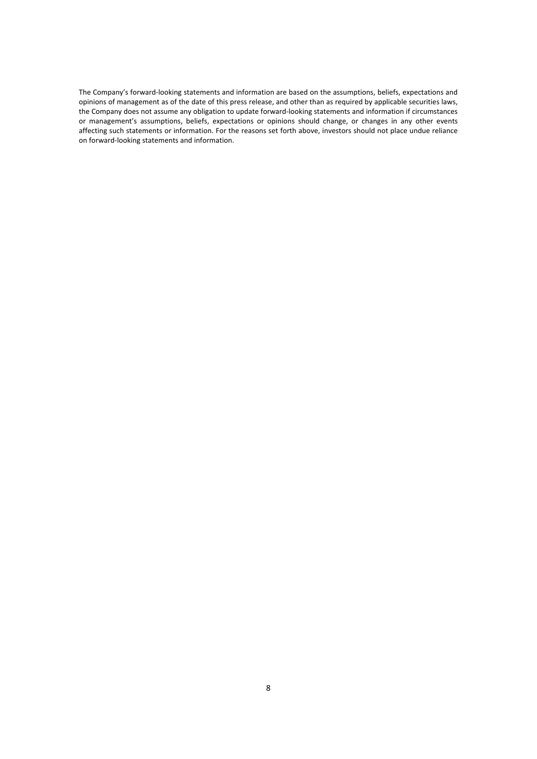The Company's forward‐looking statements and information are based on the assumptions, beliefs, expectations and opinions of management as of the date of this press release, and other than as required by applicable securities laws, the Company does not assume any obligation to update forward‐looking statements and information if circumstances or management's assumptions, beliefs, expectations or opinions should change, or changes in any other events affecting such statements or information. For the reasons set forth above, investors should not place undue reliance on forward‐looking statements and information.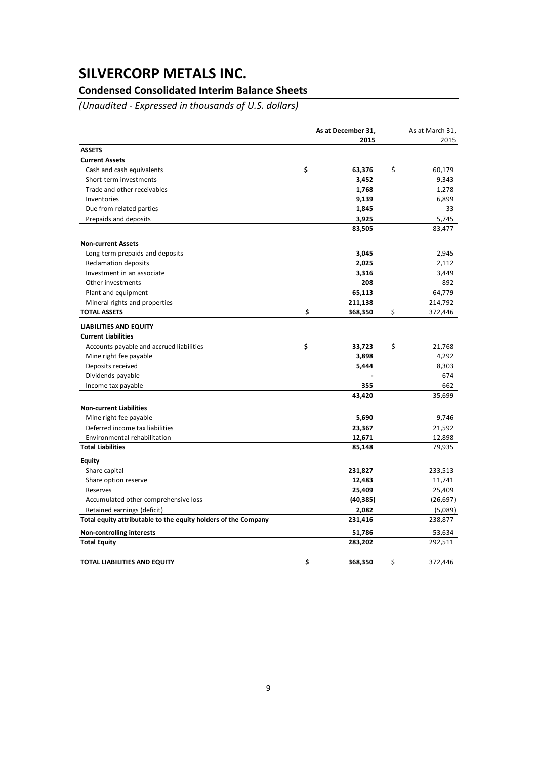## **Condensed Consolidated Interim Balance Sheets**

*(Unaudited ‐ Expressed in thousands of U.S. dollars)*

|                                                                | As at December 31, |           |    | As at March 31, |
|----------------------------------------------------------------|--------------------|-----------|----|-----------------|
|                                                                |                    | 2015      |    | 2015            |
| <b>ASSETS</b>                                                  |                    |           |    |                 |
| <b>Current Assets</b>                                          |                    |           |    |                 |
| Cash and cash equivalents                                      | \$                 | 63,376    | \$ | 60,179          |
| Short-term investments                                         |                    | 3,452     |    | 9,343           |
| Trade and other receivables                                    |                    | 1,768     |    | 1,278           |
| Inventories                                                    |                    | 9,139     |    | 6,899           |
| Due from related parties                                       |                    | 1,845     |    | 33              |
| Prepaids and deposits                                          |                    | 3,925     |    | 5,745           |
|                                                                |                    | 83,505    |    | 83,477          |
| <b>Non-current Assets</b>                                      |                    |           |    |                 |
| Long-term prepaids and deposits                                |                    | 3,045     |    | 2,945           |
| <b>Reclamation deposits</b>                                    |                    | 2,025     |    | 2,112           |
| Investment in an associate                                     |                    | 3,316     |    | 3,449           |
| Other investments                                              |                    | 208       |    | 892             |
| Plant and equipment                                            |                    | 65,113    |    | 64,779          |
| Mineral rights and properties                                  |                    | 211,138   |    | 214,792         |
| <b>TOTAL ASSETS</b>                                            | \$                 | 368,350   | \$ | 372,446         |
| <b>LIABILITIES AND EQUITY</b>                                  |                    |           |    |                 |
| <b>Current Liabilities</b>                                     |                    |           |    |                 |
| Accounts payable and accrued liabilities                       | \$                 | 33,723    | \$ | 21,768          |
| Mine right fee payable                                         |                    | 3,898     |    | 4,292           |
| Deposits received                                              |                    | 5,444     |    | 8,303           |
| Dividends payable                                              |                    |           |    | 674             |
| Income tax payable                                             |                    | 355       |    | 662             |
|                                                                |                    | 43,420    |    | 35,699          |
| <b>Non-current Liabilities</b>                                 |                    |           |    |                 |
| Mine right fee payable                                         |                    | 5,690     |    | 9,746           |
| Deferred income tax liabilities                                |                    | 23,367    |    | 21,592          |
| Environmental rehabilitation                                   |                    | 12,671    |    | 12,898          |
| <b>Total Liabilities</b>                                       |                    | 85,148    |    | 79,935          |
| <b>Equity</b>                                                  |                    |           |    |                 |
| Share capital                                                  |                    | 231,827   |    | 233,513         |
| Share option reserve                                           |                    | 12,483    |    | 11,741          |
| Reserves                                                       |                    | 25,409    |    | 25,409          |
| Accumulated other comprehensive loss                           |                    | (40, 385) |    | (26, 697)       |
| Retained earnings (deficit)                                    |                    | 2,082     |    | (5,089)         |
| Total equity attributable to the equity holders of the Company |                    | 231,416   |    | 238,877         |
| <b>Non-controlling interests</b>                               |                    | 51,786    |    | 53,634          |
| <b>Total Equity</b>                                            |                    | 283,202   |    | 292,511         |
|                                                                |                    |           |    |                 |
| TOTAL LIABILITIES AND EQUITY                                   | \$                 | 368,350   | \$ | 372,446         |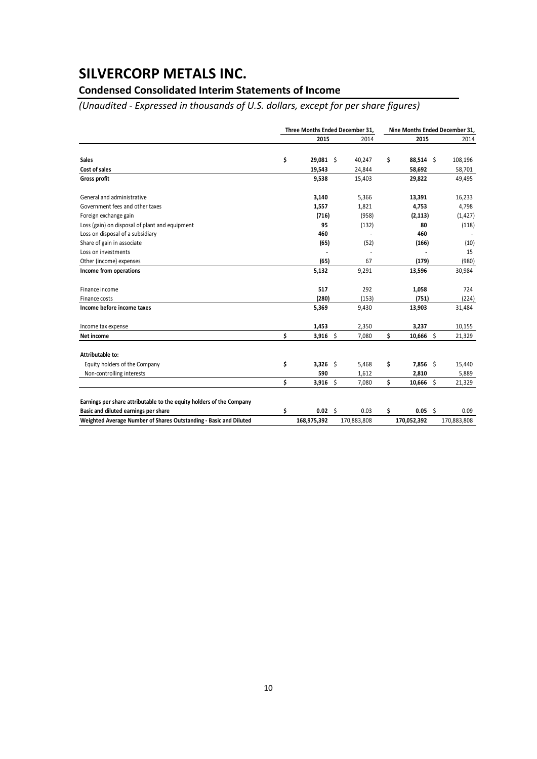## **Condensed Consolidated Interim Statements of Income**

*(Unaudited ‐ Expressed in thousands of U.S. dollars, except for per share figures)*

|                                                                      | Three Months Ended December 31, |    |             | Nine Months Ended December 31, |             |  |             |
|----------------------------------------------------------------------|---------------------------------|----|-------------|--------------------------------|-------------|--|-------------|
|                                                                      | 2015                            |    | 2014        |                                | 2015        |  | 2014        |
|                                                                      |                                 |    |             |                                |             |  |             |
| <b>Sales</b>                                                         | \$<br>29,081 \$                 |    | 40,247      | \$                             | 88,514 \$   |  | 108,196     |
| Cost of sales                                                        | 19,543                          |    | 24,844      |                                | 58,692      |  | 58,701      |
| Gross profit                                                         | 9,538                           |    | 15,403      |                                | 29,822      |  | 49,495      |
| General and administrative                                           | 3,140                           |    | 5,366       |                                | 13,391      |  | 16,233      |
| Government fees and other taxes                                      | 1,557                           |    | 1,821       |                                | 4,753       |  | 4,798       |
| Foreign exchange gain                                                | (716)                           |    | (958)       |                                | (2, 113)    |  | (1, 427)    |
| Loss (gain) on disposal of plant and equipment                       | 95                              |    | (132)       |                                | 80          |  | (118)       |
| Loss on disposal of a subsidiary                                     | 460                             |    |             |                                | 460         |  |             |
| Share of gain in associate                                           | (65)                            |    | (52)        |                                | (166)       |  | (10)        |
| Loss on investments                                                  |                                 |    |             |                                |             |  | 15          |
| Other (income) expenses                                              | (65)                            |    | 67          |                                | (179)       |  | (980)       |
| Income from operations                                               | 5,132                           |    | 9,291       |                                | 13,596      |  | 30,984      |
| Finance income                                                       | 517                             |    | 292         |                                | 1,058       |  | 724         |
| Finance costs                                                        | (280)                           |    | (153)       |                                | (751)       |  | (224)       |
| Income before income taxes                                           | 5,369                           |    | 9,430       |                                | 13,903      |  | 31,484      |
| Income tax expense                                                   | 1,453                           |    | 2,350       |                                | 3,237       |  | 10,155      |
| Net income                                                           | \$<br>3,916                     | \$ | 7,080       | \$                             | $10,666$ \$ |  | 21,329      |
| Attributable to:                                                     |                                 |    |             |                                |             |  |             |
| Equity holders of the Company                                        | \$<br>$3,326$ \$                |    | 5,468       | \$                             | $7,856$ \$  |  | 15,440      |
| Non-controlling interests                                            | 590                             |    | 1,612       |                                | 2,810       |  | 5,889       |
|                                                                      | \$<br>$3,916$ \$                |    | 7,080       | \$                             | $10,666$ \$ |  | 21,329      |
|                                                                      |                                 |    |             |                                |             |  |             |
| Earnings per share attributable to the equity holders of the Company |                                 |    |             |                                |             |  |             |
| Basic and diluted earnings per share                                 | \$<br>$0.02 \quad$              |    | 0.03        | \$                             | $0.05$ \$   |  | 0.09        |
| Weighted Average Number of Shares Outstanding - Basic and Diluted    | 168,975,392                     |    | 170,883,808 |                                | 170,052,392 |  | 170,883,808 |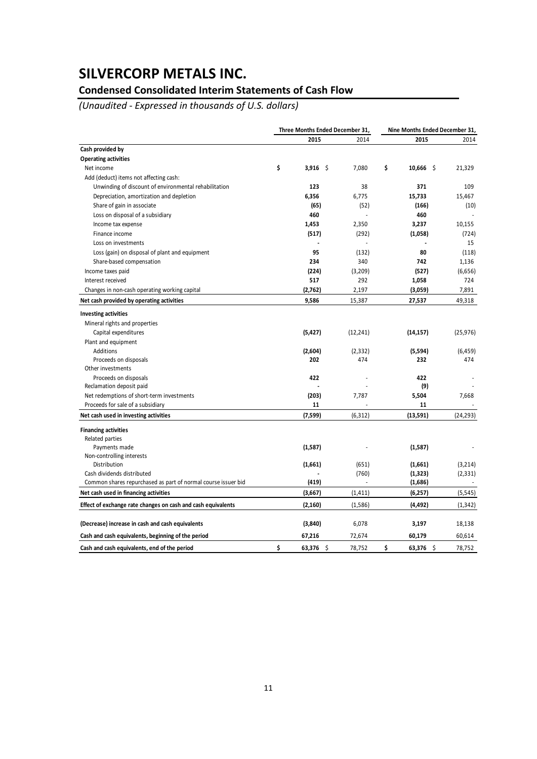# **Condensed Consolidated Interim Statements of Cash Flow**

*(Unaudited ‐ Expressed in thousands of U.S. dollars)*

|                                                               | Three Months Ended December 31, |            |  | Nine Months Ended December 31, |    |             |           |
|---------------------------------------------------------------|---------------------------------|------------|--|--------------------------------|----|-------------|-----------|
|                                                               |                                 | 2015       |  | 2014                           |    | 2015        | 2014      |
| Cash provided by                                              |                                 |            |  |                                |    |             |           |
| <b>Operating activities</b>                                   |                                 |            |  |                                |    |             |           |
| Net income                                                    | \$                              | $3,916$ \$ |  | 7,080                          | \$ | $10,666$ \$ | 21,329    |
| Add (deduct) items not affecting cash:                        |                                 |            |  |                                |    |             |           |
| Unwinding of discount of environmental rehabilitation         |                                 | 123        |  | 38                             |    | 371         | 109       |
| Depreciation, amortization and depletion                      |                                 | 6,356      |  | 6,775                          |    | 15,733      | 15,467    |
| Share of gain in associate                                    |                                 | (65)       |  | (52)                           |    | (166)       | (10)      |
| Loss on disposal of a subsidiary                              |                                 | 460        |  |                                |    | 460         |           |
| Income tax expense                                            |                                 | 1,453      |  | 2,350                          |    | 3,237       | 10,155    |
| Finance income                                                |                                 | (517)      |  | (292)                          |    | (1,058)     | (724)     |
| Loss on investments                                           |                                 |            |  |                                |    |             | 15        |
| Loss (gain) on disposal of plant and equipment                |                                 | 95         |  | (132)                          |    | 80          | (118)     |
| Share-based compensation                                      |                                 | 234        |  | 340                            |    | 742         | 1,136     |
| Income taxes paid                                             |                                 | (224)      |  | (3,209)                        |    | (527)       | (6,656)   |
| Interest received                                             |                                 | 517        |  | 292                            |    | 1,058       | 724       |
| Changes in non-cash operating working capital                 |                                 | (2,762)    |  | 2,197                          |    | (3,059)     | 7,891     |
| Net cash provided by operating activities                     |                                 | 9,586      |  | 15,387                         |    | 27,537      | 49,318    |
| <b>Investing activities</b>                                   |                                 |            |  |                                |    |             |           |
| Mineral rights and properties                                 |                                 |            |  |                                |    |             |           |
| Capital expenditures                                          |                                 | (5, 427)   |  | (12, 241)                      |    | (14, 157)   | (25, 976) |
| Plant and equipment                                           |                                 |            |  |                                |    |             |           |
| <b>Additions</b>                                              |                                 | (2,604)    |  | (2, 332)                       |    | (5, 594)    | (6, 459)  |
| Proceeds on disposals                                         |                                 | 202        |  | 474                            |    | 232         | 474       |
| Other investments                                             |                                 |            |  |                                |    |             |           |
| Proceeds on disposals                                         |                                 | 422        |  |                                |    | 422         |           |
| Reclamation deposit paid                                      |                                 |            |  |                                |    | (9)         |           |
| Net redemptions of short-term investments                     |                                 | (203)      |  | 7,787                          |    | 5,504       | 7,668     |
| Proceeds for sale of a subsidiary                             |                                 | 11         |  |                                |    | 11          |           |
| Net cash used in investing activities                         |                                 | (7, 599)   |  | (6, 312)                       |    | (13, 591)   | (24, 293) |
| <b>Financing activities</b>                                   |                                 |            |  |                                |    |             |           |
| Related parties                                               |                                 |            |  |                                |    |             |           |
| Payments made                                                 |                                 | (1,587)    |  |                                |    | (1,587)     |           |
| Non-controlling interests                                     |                                 |            |  |                                |    |             |           |
| Distribution                                                  |                                 | (1,661)    |  | (651)                          |    | (1,661)     | (3,214)   |
| Cash dividends distributed                                    |                                 |            |  | (760)                          |    | (1, 323)    | (2, 331)  |
| Common shares repurchased as part of normal course issuer bid |                                 | (419)      |  |                                |    | (1,686)     |           |
| Net cash used in financing activities                         |                                 | (3,667)    |  | (1, 411)                       |    | (6, 257)    | (5, 545)  |
| Effect of exchange rate changes on cash and cash equivalents  |                                 | (2, 160)   |  | (1,586)                        |    | (4, 492)    | (1, 342)  |
| (Decrease) increase in cash and cash equivalents              |                                 | (3,840)    |  | 6,078                          |    | 3,197       | 18,138    |
| Cash and cash equivalents, beginning of the period            |                                 | 67,216     |  | 72,674                         |    | 60,179      | 60,614    |
| Cash and cash equivalents, end of the period                  | \$                              | 63,376 \$  |  | 78,752                         | \$ | 63,376 \$   | 78,752    |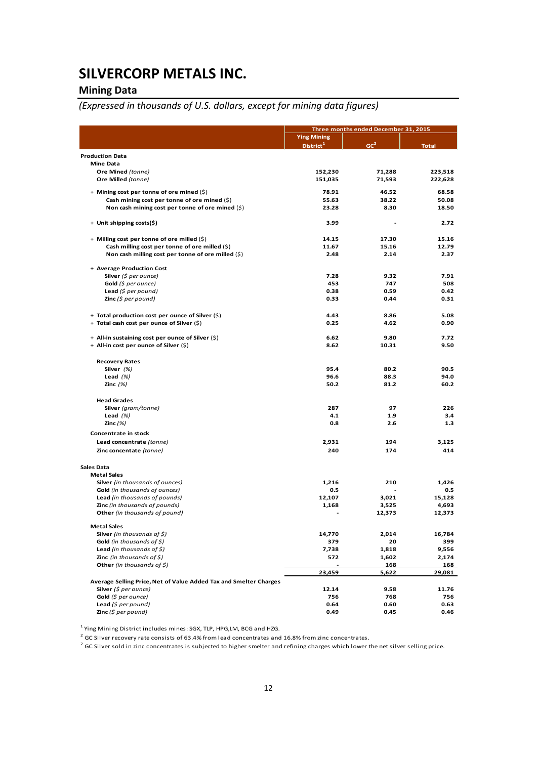## **Mining Data**

# *(Expressed in thousands of U.S. dollars, except for mining data figures)*

|                                                                   | Three months ended December 31, 2015 |                 |              |  |
|-------------------------------------------------------------------|--------------------------------------|-----------------|--------------|--|
|                                                                   | <b>Ying Mining</b>                   |                 |              |  |
|                                                                   | District <sup>1</sup>                | GC <sup>2</sup> | <b>Total</b> |  |
| <b>Production Data</b>                                            |                                      |                 |              |  |
| <b>Mine Data</b>                                                  |                                      |                 |              |  |
| Ore Mined (tonne)                                                 | 152,230                              | 71,288          | 223,518      |  |
| Ore Milled (tonne)                                                | 151,035                              | 71,593          | 222,628      |  |
| + Mining cost per tonne of ore mined (\$)                         | 78.91                                | 46.52           | 68.58        |  |
| Cash mining cost per tonne of ore mined $(\xi)$                   | 55.63                                | 38.22           | 50.08        |  |
| Non cash mining cost per tonne of ore mined $(\xi)$               | 23.28                                | 8.30            | 18.50        |  |
| + Unit shipping costs(\$)                                         | 3.99                                 |                 | 2.72         |  |
|                                                                   |                                      |                 |              |  |
| + Milling cost per tonne of ore milled (\$)                       | 14.15                                | 17.30           | 15.16        |  |
| Cash milling cost per tonne of ore milled (\$)                    | 11.67                                | 15.16           | 12.79        |  |
| Non cash milling cost per tonne of ore milled (\$)                | 2.48                                 | 2.14            | 2.37         |  |
| + Average Production Cost                                         |                                      |                 |              |  |
| <b>Silver</b> (\$ per ounce)                                      | 7.28                                 | 9.32            | 7.91         |  |
| Gold (\$ per ounce)                                               | 453                                  | 747             | 508          |  |
| Lead $(5$ per pound)                                              | 0.38                                 | 0.59            | 0.42         |  |
| <b>Zinc</b> (\$ per pound)                                        | 0.33                                 | 0.44            | 0.31         |  |
|                                                                   |                                      |                 |              |  |
| + Total production cost per ounce of Silver (\$)                  | 4.43                                 | 8.86            | 5.08         |  |
| + Total cash cost per ounce of Silver (\$)                        | 0.25                                 | 4.62            | 0.90         |  |
|                                                                   |                                      |                 |              |  |
| + All-in sustaining cost per ounce of Silver (\$)                 | 6.62                                 | 9.80            | 7.72         |  |
| + All-in cost per ounce of Silver (\$)                            | 8.62                                 | 10.31           | 9.50         |  |
| <b>Recovery Rates</b>                                             |                                      |                 |              |  |
| Silver (%)                                                        | 95.4                                 | 80.2            | 90.5         |  |
| Lead $(%)$                                                        | 96.6                                 | 88.3            | 94.0         |  |
| Zinc $(%)$                                                        | 50.2                                 | 81.2            | 60.2         |  |
| <b>Head Grades</b>                                                |                                      |                 |              |  |
| Silver (gram/tonne)                                               | 287                                  | 97              | 226          |  |
| Lead $(%)$                                                        | 4.1                                  | 1.9             | 3.4          |  |
| Zinc $(%)$                                                        | 0.8                                  | 2.6             | 1.3          |  |
| Concentrate in stock                                              |                                      |                 |              |  |
| Lead concentrate (tonne)                                          | 2,931                                | 194             | 3,125        |  |
| Zinc concentate (tonne)                                           | 240                                  | 174             | 414          |  |
|                                                                   |                                      |                 |              |  |
| Sales Data<br><b>Metal Sales</b>                                  |                                      |                 |              |  |
| Silver (in thousands of ounces)                                   | 1,216                                | 210             | 1,426        |  |
| Gold (in thousands of ounces)                                     | 0.5                                  |                 | 0.5          |  |
| Lead (in thousands of pounds)                                     | 12,107                               | 3,021           | 15,128       |  |
| Zinc (in thousands of pounds)                                     | 1,168                                | 3,525           | 4,693        |  |
| Other (in thousands of pound)                                     |                                      | 12,373          | 12,373       |  |
| <b>Metal Sales</b>                                                |                                      |                 |              |  |
| Silver (in thousands of $$$ )                                     | 14,770                               | 2,014           | 16,784       |  |
| Gold (in thousands of $\zeta$ )                                   | 379                                  | 20              | 399          |  |
| <b>Lead</b> (in thousands of $\zeta$ )                            | 7,738                                | 1,818           | 9,556        |  |
| <b>Zinc</b> (in thousands of $\zeta$ )                            | 572                                  | 1,602           | 2,174        |  |
| Other (in thousands of $\zeta$ )                                  |                                      | 168             | 168          |  |
|                                                                   | 23,459                               | 5,622           | 29,081       |  |
| Average Selling Price, Net of Value Added Tax and Smelter Charges |                                      |                 |              |  |
| Silver (\$ per ounce)                                             | 12.14                                | 9.58            | 11.76        |  |
| Gold (\$ per ounce)                                               | 756                                  | 768             | 756          |  |
| Lead $(5$ per pound)<br>Zinc (\$ per pound)                       | 0.64<br>0.49                         | 0.60<br>0.45    | 0.63<br>0.46 |  |
|                                                                   |                                      |                 |              |  |

 $1$  Ying Mining District includes mines: SGX, TLP, HPG,LM, BCG and HZG.

2 GC Silver recovery rate consists of 63.4% from lead concentrates and 16.8% from zinc concentrates.

<sup>2</sup> GC Silver sold in zinc concentrates is subjected to higher smelter and refining charges which lower the net silver selling price.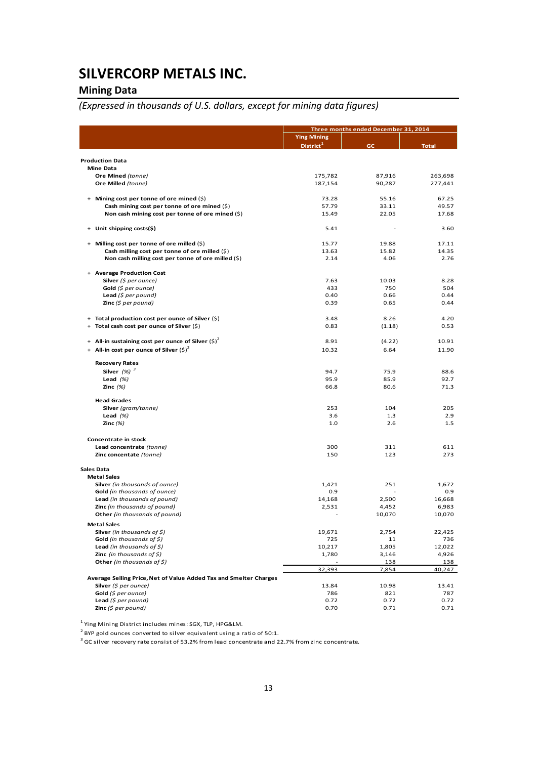## **Mining Data**

# *(Expressed in thousands of U.S. dollars, except for mining data figures)*

|                                                                   | Three months ended December 31, 2014 |        |              |  |
|-------------------------------------------------------------------|--------------------------------------|--------|--------------|--|
|                                                                   | <b>Ying Mining</b>                   |        |              |  |
|                                                                   | District <sup>1</sup>                | GC     | <b>Total</b> |  |
|                                                                   |                                      |        |              |  |
| <b>Production Data</b>                                            |                                      |        |              |  |
| <b>Mine Data</b>                                                  |                                      |        |              |  |
| Ore Mined (tonne)                                                 | 175,782                              | 87,916 | 263,698      |  |
| Ore Milled (tonne)                                                | 187,154                              | 90,287 | 277,441      |  |
| + Mining cost per tonne of ore mined (\$)                         | 73.28                                | 55.16  | 67.25        |  |
| Cash mining cost per tonne of ore mined $(5)$                     | 57.79                                | 33.11  | 49.57        |  |
| Non cash mining cost per tonne of ore mined $(\xi)$               | 15.49                                | 22.05  | 17.68        |  |
|                                                                   |                                      |        |              |  |
| + Unit shipping costs(\$)                                         | 5.41                                 |        | 3.60         |  |
| + Milling cost per tonne of ore milled (\$)                       | 15.77                                | 19.88  | 17.11        |  |
| Cash milling cost per tonne of ore milled $(\xi)$                 | 13.63                                | 15.82  | 14.35        |  |
| Non cash milling cost per tonne of ore milled (\$)                | 2.14                                 | 4.06   | 2.76         |  |
|                                                                   |                                      |        |              |  |
| + Average Production Cost<br>Silver (\$ per ounce)                | 7.63                                 | 10.03  | 8.28         |  |
| Gold $(\xi$ per ounce)                                            | 433                                  | 750    | 504          |  |
| Lead $(\xi$ per pound)                                            | 0.40                                 | 0.66   | 0.44         |  |
| <b>Zinc</b> (\$ per pound)                                        | 0.39                                 | 0.65   | 0.44         |  |
|                                                                   |                                      |        |              |  |
| + Total production cost per ounce of Silver (\$)                  | 3.48                                 | 8.26   | 4.20         |  |
| + Total cash cost per ounce of Silver (\$)                        | 0.83                                 | (1.18) | 0.53         |  |
| + All-in sustaining cost per ounce of Silver $(\xi)^2$            |                                      |        |              |  |
| + All-in cost per ounce of Silver $(\xi)^2$                       | 8.91                                 | (4.22) | 10.91        |  |
|                                                                   | 10.32                                | 6.64   | 11.90        |  |
| <b>Recovery Rates</b>                                             |                                      |        |              |  |
| Silver $(%)$ <sup>3</sup>                                         | 94.7                                 | 75.9   | 88.6         |  |
| Lead $(%)$                                                        | 95.9                                 | 85.9   | 92.7         |  |
| Zinc $(%)$                                                        | 66.8                                 | 80.6   | 71.3         |  |
| <b>Head Grades</b>                                                |                                      |        |              |  |
| Silver (gram/tonne)                                               | 253                                  | 104    | 205          |  |
| Lead $(%)$                                                        | 3.6                                  | 1.3    | 2.9          |  |
| Zinc $(%)$                                                        | 1.0                                  | 2.6    | 1.5          |  |
| Concentrate in stock                                              |                                      |        |              |  |
| Lead concentrate (tonne)                                          | 300                                  | 311    | 611          |  |
| Zinc concentate (tonne)                                           | 150                                  | 123    | 273          |  |
|                                                                   |                                      |        |              |  |
| Sales Data<br><b>Metal Sales</b>                                  |                                      |        |              |  |
| Silver (in thousands of ounce)                                    | 1,421                                | 251    | 1,672        |  |
| Gold (in thousands of ounce)                                      | 0.9                                  |        | 0.9          |  |
| Lead (in thousands of pound)                                      | 14,168                               | 2,500  | 16,668       |  |
| Zinc (in thousands of pound)                                      | 2,531                                | 4,452  | 6,983        |  |
| Other (in thousands of pound)                                     |                                      | 10,070 | 10,070       |  |
| <b>Metal Sales</b>                                                |                                      |        |              |  |
| <b>Silver</b> (in thousands of $\zeta$ )                          | 19,671                               | 2,754  | 22,425       |  |
| Gold (in thousands of $$)$                                        | 725                                  | 11     | 736          |  |
| Lead (in thousands of $\zeta$ )                                   | 10,217                               | 1,805  | 12,022       |  |
| <b>Zinc</b> (in thousands of $\zeta$ )                            | 1,780                                | 3,146  | 4,926        |  |
| Other (in thousands of $\zeta$ )                                  |                                      | 138    | 138          |  |
|                                                                   | 32,393                               | 7,854  | 40,247       |  |
| Average Selling Price, Net of Value Added Tax and Smelter Charges |                                      |        |              |  |
| Silver (\$ per ounce)                                             | 13.84                                | 10.98  | 13.41        |  |
| Gold $(5$ per ounce)                                              | 786                                  | 821    | 787          |  |
| Lead $(5$ per pound)<br><b>Zinc</b> $(5$ per pound)               | 0.72                                 | 0.72   | 0.72         |  |
|                                                                   | 0.70                                 | 0.71   | 0.71         |  |

<sup>1</sup> Ying Mining District includes mines: SGX, TLP, HPG&LM.

 $2$  BYP gold ounces converted to silver equivalent using a ratio of 50:1.

 $3$  GC silver recovery rate consist of 53.2% from lead concentrate and 22.7% from zinc concentrate.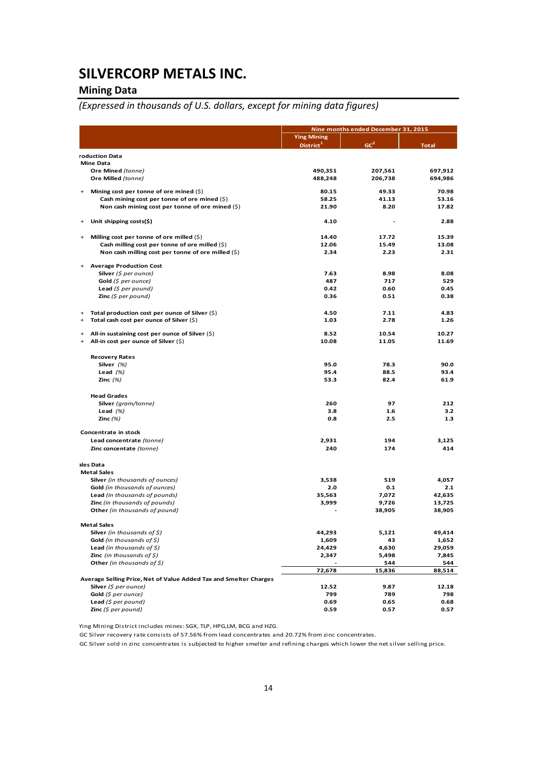## **Mining Data**

# *(Expressed in thousands of U.S. dollars, except for mining data figures)*

|                                                                                                         | Nine months ended December 31, 2015         |                 |                |
|---------------------------------------------------------------------------------------------------------|---------------------------------------------|-----------------|----------------|
|                                                                                                         | <b>Ying Mining</b><br>District <sup>1</sup> | GC <sup>2</sup> | <b>Total</b>   |
| roduction Data                                                                                          |                                             |                 |                |
| <b>Mine Data</b>                                                                                        |                                             |                 |                |
| Ore Mined (tonne)                                                                                       | 490,351                                     | 207,561         | 697,912        |
| Ore Milled (tonne)                                                                                      | 488,248                                     | 206,738         | 694,986        |
| Mining cost per tonne of ore mined $(\xi)$<br>$^{+}$                                                    | 80.15                                       | 49.33           | 70.98          |
| Cash mining cost per tonne of ore mined $(\xi)$                                                         | 58.25                                       | 41.13           | 53.16          |
| Non cash mining cost per tonne of ore mined $(\xi)$                                                     | 21.90                                       | 8.20            | 17.82          |
| Unit shipping costs(\$)<br>$\ddot{}$                                                                    | 4.10                                        |                 | 2.88           |
| Milling cost per tonne of ore milled $(\xi)$<br>$\ddot{}$                                               | 14.40                                       | 17.72           | 15.39          |
| Cash milling cost per tonne of ore milled $(\xi)$                                                       | 12.06                                       | 15.49           | 13.08          |
| Non cash milling cost per tonne of ore milled (\$)                                                      | 2.34                                        | 2.23            | 2.31           |
| <b>Average Production Cost</b><br>$\pm$                                                                 |                                             |                 |                |
| Silver $(5$ per ounce)                                                                                  | 7.63                                        | 8.98            | 8.08           |
| Gold (\$ per ounce)                                                                                     | 487                                         | 717             | 529            |
| <b>Lead</b> (\$ per pound)                                                                              | 0.42                                        | 0.60            | 0.45           |
| <b>Zinc</b> (\$ per pound)                                                                              | 0.36                                        | 0.51            | 0.38           |
| Total production cost per ounce of Silver (\$)<br>$\ddot{}$                                             | 4.50                                        | 7.11            | 4.83           |
| Total cash cost per ounce of Silver $(\xi)$<br>$+$                                                      | 1.03                                        | 2.78            | 1.26           |
| $\ddot{}$                                                                                               |                                             |                 |                |
| All-in sustaining cost per ounce of Silver $(\xi)$<br>All-in cost per ounce of Silver (\$)<br>$\ddot{}$ | 8.52<br>10.08                               | 10.54<br>11.05  | 10.27<br>11.69 |
|                                                                                                         |                                             |                 |                |
| <b>Recovery Rates</b>                                                                                   |                                             |                 |                |
| Silver $(%)$                                                                                            | 95.0                                        | 78.3            | 90.0           |
| Lead $(%)$                                                                                              | 95.4                                        | 88.5            | 93.4           |
| Zinc $(%)$                                                                                              | 53.3                                        | 82.4            | 61.9           |
| <b>Head Grades</b>                                                                                      |                                             |                 |                |
| Silver (gram/tonne)                                                                                     | 260                                         | 97              | 212            |
| Lead $(%)$                                                                                              | 3.8                                         | 1.6             | 3.2            |
| Zinc $(%)$                                                                                              | 0.8                                         | 2.5             | 1.3            |
| Concentrate in stock                                                                                    |                                             |                 |                |
| Lead concentrate (tonne)                                                                                | 2,931                                       | 194             | 3,125          |
| Zinc concentate (tonne)                                                                                 | 240                                         | 174             | 414            |
| ales Data                                                                                               |                                             |                 |                |
| <b>Metal Sales</b>                                                                                      |                                             |                 |                |
| Silver (in thousands of ounces)                                                                         | 3,538                                       | 519             | 4,057          |
| Gold (in thousands of ounces)                                                                           | 2.0                                         | 0.1             | 2.1            |
| Lead (in thousands of pounds)                                                                           | 35,563                                      | 7,072           | 42,635         |
| Zinc (in thousands of pounds)                                                                           | 3,999                                       | 9,726           | 13,725         |
| Other (in thousands of pound)                                                                           |                                             | 38,905          | 38,905         |
| <b>Metal Sales</b>                                                                                      |                                             |                 |                |
| <b>Silver</b> (in thousands of $\sharp$ )                                                               | 44,293                                      | 5,121           | 49,414         |
| Gold (in thousands of $\zeta$ )                                                                         | 1,609                                       | 43              | 1,652          |
| <b>Lead</b> (in thousands of $\zeta$ )                                                                  | 24,429                                      | 4,630           | 29,059         |
| <b>Zinc</b> (in thousands of $\zeta$ )                                                                  | 2,347                                       | 5,498           | 7,845          |
| Other (in thousands of $\zeta$ )                                                                        |                                             | 544             | 544            |
|                                                                                                         | 72,678                                      | 15,836          | 88,514         |
| Average Selling Price, Net of Value Added Tax and Smelter Charges<br>Silver $(5$ per ounce)             | 12.52                                       | 9.87            | 12.18          |
| Gold $(5$ per ounce)                                                                                    | 799                                         | 789             | 798            |
| Lead $(5$ per pound)                                                                                    | 0.69                                        | 0.65            | 0.68           |
| <b>Zinc</b> (\$ per pound)                                                                              | 0.59                                        | 0.57            | 0.57           |

Ying Mining District includes mines: SGX, TLP, HPG,LM, BCG and HZG.

GC Silver recovery rate consists of 57.56% from lead concentrates and 20.72% from zinc concentrates.

GC Silver sold in zinc concentrates is subjected to higher smelter and refining charges which lower the net silver selling price.